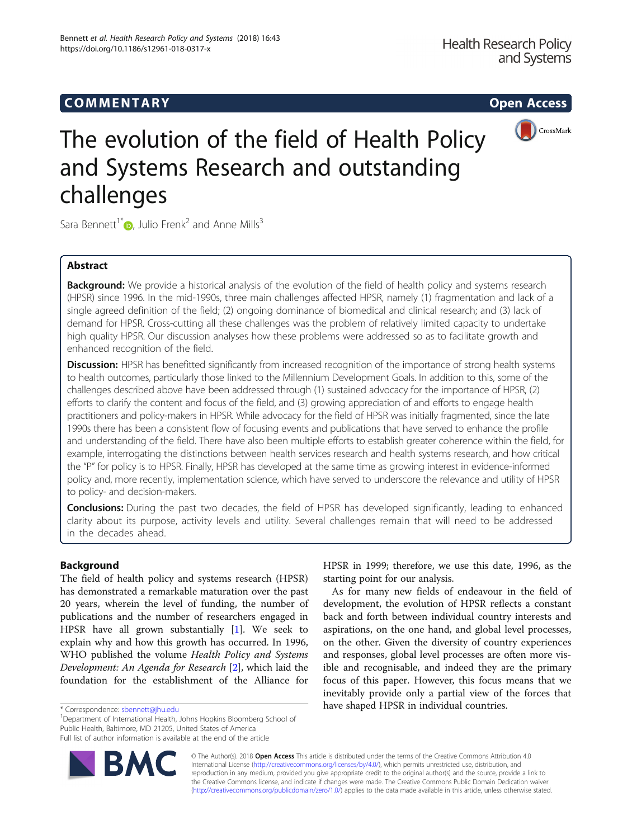

# The evolution of the field of Health Policy and Systems Research and outstanding challenges

Sara Bennett<sup>1[\\*](http://orcid.org/0000-0001-8094-8798)</sup> **D**, Julio Frenk<sup>2</sup> and Anne Mills<sup>3</sup>

# Abstract

**Background:** We provide a historical analysis of the evolution of the field of health policy and systems research (HPSR) since 1996. In the mid-1990s, three main challenges affected HPSR, namely (1) fragmentation and lack of a single agreed definition of the field; (2) ongoing dominance of biomedical and clinical research; and (3) lack of demand for HPSR. Cross-cutting all these challenges was the problem of relatively limited capacity to undertake high quality HPSR. Our discussion analyses how these problems were addressed so as to facilitate growth and enhanced recognition of the field.

Discussion: HPSR has benefitted significantly from increased recognition of the importance of strong health systems to health outcomes, particularly those linked to the Millennium Development Goals. In addition to this, some of the challenges described above have been addressed through (1) sustained advocacy for the importance of HPSR, (2) efforts to clarify the content and focus of the field, and (3) growing appreciation of and efforts to engage health practitioners and policy-makers in HPSR. While advocacy for the field of HPSR was initially fragmented, since the late 1990s there has been a consistent flow of focusing events and publications that have served to enhance the profile and understanding of the field. There have also been multiple efforts to establish greater coherence within the field, for example, interrogating the distinctions between health services research and health systems research, and how critical the "P" for policy is to HPSR. Finally, HPSR has developed at the same time as growing interest in evidence-informed policy and, more recently, implementation science, which have served to underscore the relevance and utility of HPSR to policy- and decision-makers.

**Conclusions:** During the past two decades, the field of HPSR has developed significantly, leading to enhanced clarity about its purpose, activity levels and utility. Several challenges remain that will need to be addressed in the decades ahead.

# Background

The field of health policy and systems research (HPSR) has demonstrated a remarkable maturation over the past 20 years, wherein the level of funding, the number of publications and the number of researchers engaged in HPSR have all grown substantially [[1\]](#page-4-0). We seek to explain why and how this growth has occurred. In 1996, WHO published the volume Health Policy and Systems Development: An Agenda for Research [\[2](#page-4-0)], which laid the foundation for the establishment of the Alliance for



As for many new fields of endeavour in the field of development, the evolution of HPSR reflects a constant back and forth between individual country interests and aspirations, on the one hand, and global level processes, on the other. Given the diversity of country experiences and responses, global level processes are often more visible and recognisable, and indeed they are the primary focus of this paper. However, this focus means that we inevitably provide only a partial view of the forces that \*Correspondence: [sbennett@jhu.edu](mailto:sbennett@jhu.edu) 1999 have shaped HPSR in individual countries.



© The Author(s). 2018 Open Access This article is distributed under the terms of the Creative Commons Attribution 4.0 International License [\(http://creativecommons.org/licenses/by/4.0/](http://creativecommons.org/licenses/by/4.0/)), which permits unrestricted use, distribution, and reproduction in any medium, provided you give appropriate credit to the original author(s) and the source, provide a link to the Creative Commons license, and indicate if changes were made. The Creative Commons Public Domain Dedication waiver [\(http://creativecommons.org/publicdomain/zero/1.0/](http://creativecommons.org/publicdomain/zero/1.0/)) applies to the data made available in this article, unless otherwise stated.

<sup>&</sup>lt;sup>1</sup>Department of International Health, Johns Hopkins Bloomberg School of Public Health, Baltimore, MD 21205, United States of America Full list of author information is available at the end of the article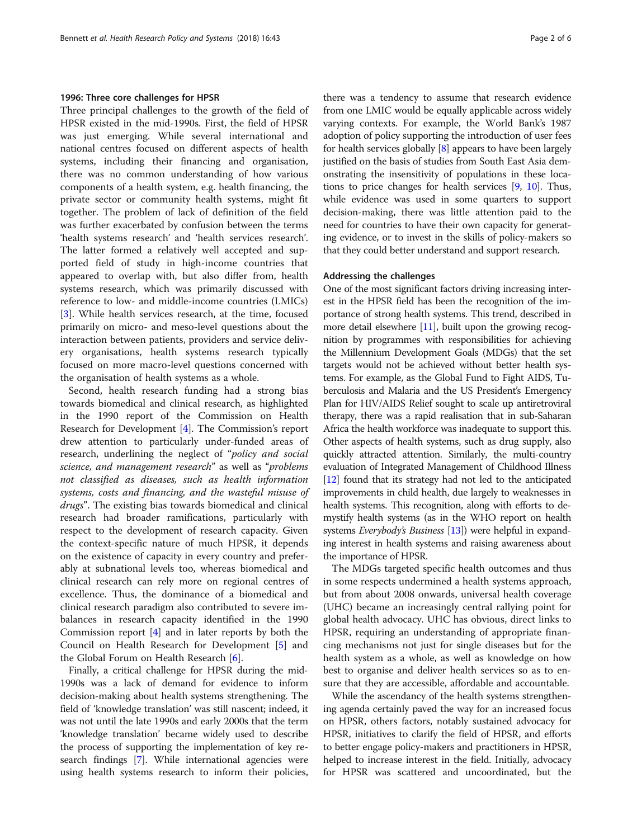# 1996: Three core challenges for HPSR

Three principal challenges to the growth of the field of HPSR existed in the mid-1990s. First, the field of HPSR was just emerging. While several international and national centres focused on different aspects of health systems, including their financing and organisation, there was no common understanding of how various components of a health system, e.g. health financing, the private sector or community health systems, might fit together. The problem of lack of definition of the field was further exacerbated by confusion between the terms 'health systems research' and 'health services research'. The latter formed a relatively well accepted and supported field of study in high-income countries that appeared to overlap with, but also differ from, health systems research, which was primarily discussed with reference to low- and middle-income countries (LMICs) [[3\]](#page-4-0). While health services research, at the time, focused primarily on micro- and meso-level questions about the interaction between patients, providers and service delivery organisations, health systems research typically focused on more macro-level questions concerned with the organisation of health systems as a whole.

Second, health research funding had a strong bias towards biomedical and clinical research, as highlighted in the 1990 report of the Commission on Health Research for Development [[4](#page-4-0)]. The Commission's report drew attention to particularly under-funded areas of research, underlining the neglect of "policy and social science, and management research" as well as "problems not classified as diseases, such as health information systems, costs and financing, and the wasteful misuse of drugs". The existing bias towards biomedical and clinical research had broader ramifications, particularly with respect to the development of research capacity. Given the context-specific nature of much HPSR, it depends on the existence of capacity in every country and preferably at subnational levels too, whereas biomedical and clinical research can rely more on regional centres of excellence. Thus, the dominance of a biomedical and clinical research paradigm also contributed to severe imbalances in research capacity identified in the 1990 Commission report [\[4](#page-4-0)] and in later reports by both the Council on Health Research for Development [\[5](#page-4-0)] and the Global Forum on Health Research [\[6](#page-4-0)].

Finally, a critical challenge for HPSR during the mid-1990s was a lack of demand for evidence to inform decision-making about health systems strengthening. The field of 'knowledge translation' was still nascent; indeed, it was not until the late 1990s and early 2000s that the term 'knowledge translation' became widely used to describe the process of supporting the implementation of key research findings [\[7\]](#page-4-0). While international agencies were using health systems research to inform their policies,

there was a tendency to assume that research evidence from one LMIC would be equally applicable across widely varying contexts. For example, the World Bank's 1987 adoption of policy supporting the introduction of user fees for health services globally [[8\]](#page-4-0) appears to have been largely justified on the basis of studies from South East Asia demonstrating the insensitivity of populations in these locations to price changes for health services [\[9](#page-4-0), [10](#page-4-0)]. Thus, while evidence was used in some quarters to support decision-making, there was little attention paid to the need for countries to have their own capacity for generating evidence, or to invest in the skills of policy-makers so that they could better understand and support research.

# Addressing the challenges

One of the most significant factors driving increasing interest in the HPSR field has been the recognition of the importance of strong health systems. This trend, described in more detail elsewhere [[11](#page-4-0)], built upon the growing recognition by programmes with responsibilities for achieving the Millennium Development Goals (MDGs) that the set targets would not be achieved without better health systems. For example, as the Global Fund to Fight AIDS, Tuberculosis and Malaria and the US President's Emergency Plan for HIV/AIDS Relief sought to scale up antiretroviral therapy, there was a rapid realisation that in sub-Saharan Africa the health workforce was inadequate to support this. Other aspects of health systems, such as drug supply, also quickly attracted attention. Similarly, the multi-country evaluation of Integrated Management of Childhood Illness [[12](#page-4-0)] found that its strategy had not led to the anticipated improvements in child health, due largely to weaknesses in health systems. This recognition, along with efforts to demystify health systems (as in the WHO report on health systems Everybody's Business [[13](#page-4-0)]) were helpful in expanding interest in health systems and raising awareness about the importance of HPSR.

The MDGs targeted specific health outcomes and thus in some respects undermined a health systems approach, but from about 2008 onwards, universal health coverage (UHC) became an increasingly central rallying point for global health advocacy. UHC has obvious, direct links to HPSR, requiring an understanding of appropriate financing mechanisms not just for single diseases but for the health system as a whole, as well as knowledge on how best to organise and deliver health services so as to ensure that they are accessible, affordable and accountable.

While the ascendancy of the health systems strengthening agenda certainly paved the way for an increased focus on HPSR, others factors, notably sustained advocacy for HPSR, initiatives to clarify the field of HPSR, and efforts to better engage policy-makers and practitioners in HPSR, helped to increase interest in the field. Initially, advocacy for HPSR was scattered and uncoordinated, but the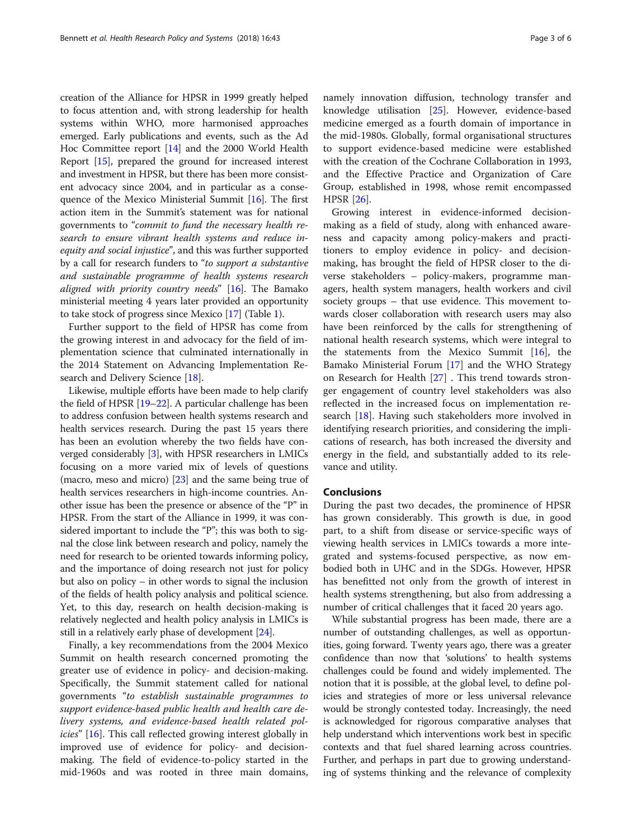creation of the Alliance for HPSR in 1999 greatly helped to focus attention and, with strong leadership for health systems within WHO, more harmonised approaches emerged. Early publications and events, such as the Ad Hoc Committee report [\[14\]](#page-4-0) and the 2000 World Health Report [[15](#page-4-0)], prepared the ground for increased interest and investment in HPSR, but there has been more consistent advocacy since 2004, and in particular as a consequence of the Mexico Ministerial Summit [[16](#page-5-0)]. The first action item in the Summit's statement was for national governments to "commit to fund the necessary health research to ensure vibrant health systems and reduce inequity and social injustice", and this was further supported by a call for research funders to "to support a substantive and sustainable programme of health systems research aligned with priority country needs"  $[16]$ . The Bamako ministerial meeting 4 years later provided an opportunity to take stock of progress since Mexico [\[17\]](#page-5-0) (Table [1\)](#page-3-0).

Further support to the field of HPSR has come from the growing interest in and advocacy for the field of implementation science that culminated internationally in the 2014 Statement on Advancing Implementation Re-search and Delivery Science [[18\]](#page-5-0).

Likewise, multiple efforts have been made to help clarify the field of HPSR [[19](#page-5-0)–[22\]](#page-5-0). A particular challenge has been to address confusion between health systems research and health services research. During the past 15 years there has been an evolution whereby the two fields have converged considerably [\[3](#page-4-0)], with HPSR researchers in LMICs focusing on a more varied mix of levels of questions (macro, meso and micro) [\[23\]](#page-5-0) and the same being true of health services researchers in high-income countries. Another issue has been the presence or absence of the "P" in HPSR. From the start of the Alliance in 1999, it was considered important to include the "P"; this was both to signal the close link between research and policy, namely the need for research to be oriented towards informing policy, and the importance of doing research not just for policy but also on policy – in other words to signal the inclusion of the fields of health policy analysis and political science. Yet, to this day, research on health decision-making is relatively neglected and health policy analysis in LMICs is still in a relatively early phase of development [\[24\]](#page-5-0).

Finally, a key recommendations from the 2004 Mexico Summit on health research concerned promoting the greater use of evidence in policy- and decision-making. Specifically, the Summit statement called for national governments "to establish sustainable programmes to support evidence-based public health and health care delivery systems, and evidence-based health related pol-icies" [[16\]](#page-5-0). This call reflected growing interest globally in improved use of evidence for policy- and decisionmaking. The field of evidence-to-policy started in the mid-1960s and was rooted in three main domains,

namely innovation diffusion, technology transfer and knowledge utilisation [[25\]](#page-5-0). However, evidence-based medicine emerged as a fourth domain of importance in the mid-1980s. Globally, formal organisational structures to support evidence-based medicine were established with the creation of the Cochrane Collaboration in 1993, and the Effective Practice and Organization of Care Group, established in 1998, whose remit encompassed HPSR [[26\]](#page-5-0).

Growing interest in evidence-informed decisionmaking as a field of study, along with enhanced awareness and capacity among policy-makers and practitioners to employ evidence in policy- and decisionmaking, has brought the field of HPSR closer to the diverse stakeholders – policy-makers, programme managers, health system managers, health workers and civil society groups – that use evidence. This movement towards closer collaboration with research users may also have been reinforced by the calls for strengthening of national health research systems, which were integral to the statements from the Mexico Summit [\[16](#page-5-0)], the Bamako Ministerial Forum [\[17\]](#page-5-0) and the WHO Strategy on Research for Health [\[27](#page-5-0)] . This trend towards stronger engagement of country level stakeholders was also reflected in the increased focus on implementation research [[18\]](#page-5-0). Having such stakeholders more involved in identifying research priorities, and considering the implications of research, has both increased the diversity and energy in the field, and substantially added to its relevance and utility.

# Conclusions

During the past two decades, the prominence of HPSR has grown considerably. This growth is due, in good part, to a shift from disease or service-specific ways of viewing health services in LMICs towards a more integrated and systems-focused perspective, as now embodied both in UHC and in the SDGs. However, HPSR has benefitted not only from the growth of interest in health systems strengthening, but also from addressing a number of critical challenges that it faced 20 years ago.

While substantial progress has been made, there are a number of outstanding challenges, as well as opportunities, going forward. Twenty years ago, there was a greater confidence than now that 'solutions' to health systems challenges could be found and widely implemented. The notion that it is possible, at the global level, to define policies and strategies of more or less universal relevance would be strongly contested today. Increasingly, the need is acknowledged for rigorous comparative analyses that help understand which interventions work best in specific contexts and that fuel shared learning across countries. Further, and perhaps in part due to growing understanding of systems thinking and the relevance of complexity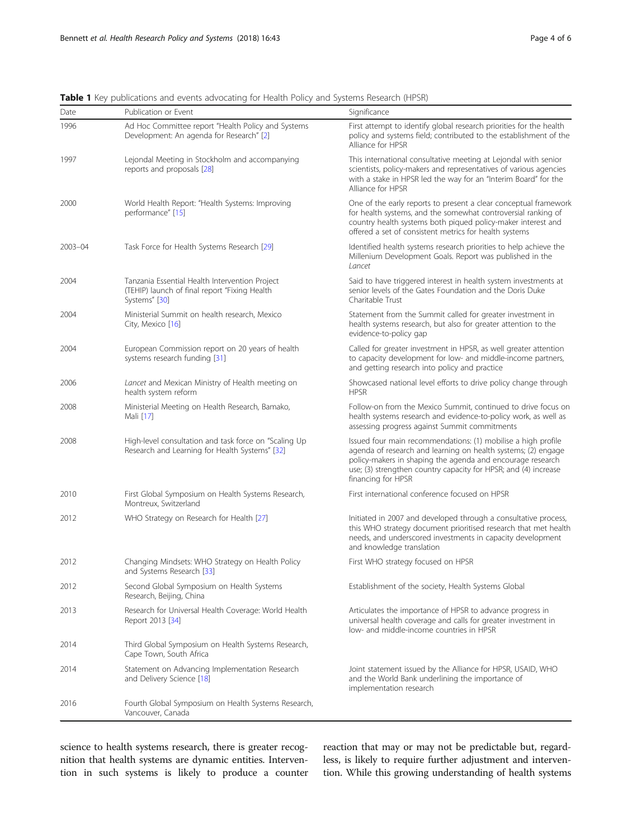| Date        | Publication or Event                                                                                             | Significance                                                                                                                                                                                                                                                                          |
|-------------|------------------------------------------------------------------------------------------------------------------|---------------------------------------------------------------------------------------------------------------------------------------------------------------------------------------------------------------------------------------------------------------------------------------|
| 1996        | Ad Hoc Committee report "Health Policy and Systems<br>Development: An agenda for Research" [2]                   | First attempt to identify global research priorities for the health<br>policy and systems field; contributed to the establishment of the<br>Alliance for HPSR                                                                                                                         |
| 1997        | Lejondal Meeting in Stockholm and accompanying<br>reports and proposals [28]                                     | This international consultative meeting at Lejondal with senior<br>scientists, policy-makers and representatives of various agencies<br>with a stake in HPSR led the way for an "Interim Board" for the<br>Alliance for HPSR                                                          |
| 2000        | World Health Report: "Health Systems: Improving<br>performance" [15]                                             | One of the early reports to present a clear conceptual framework<br>for health systems, and the somewhat controversial ranking of<br>country health systems both piqued policy-maker interest and<br>offered a set of consistent metrics for health systems                           |
| $2003 - 04$ | Task Force for Health Systems Research [29]                                                                      | Identified health systems research priorities to help achieve the<br>Millenium Development Goals. Report was published in the<br>Lancet                                                                                                                                               |
| 2004        | Tanzania Essential Health Intervention Project<br>(TEHIP) launch of final report "Fixing Health<br>Systems" [30] | Said to have triggered interest in health system investments at<br>senior levels of the Gates Foundation and the Doris Duke<br>Charitable Trust                                                                                                                                       |
| 2004        | Ministerial Summit on health research, Mexico<br>City, Mexico [16]                                               | Statement from the Summit called for greater investment in<br>health systems research, but also for greater attention to the<br>evidence-to-policy gap                                                                                                                                |
| 2004        | European Commission report on 20 years of health<br>systems research funding [31]                                | Called for greater investment in HPSR, as well greater attention<br>to capacity development for low- and middle-income partners,<br>and getting research into policy and practice                                                                                                     |
| 2006        | Lancet and Mexican Ministry of Health meeting on<br>health system reform                                         | Showcased national level efforts to drive policy change through<br><b>HPSR</b>                                                                                                                                                                                                        |
| 2008        | Ministerial Meeting on Health Research, Bamako,<br>Mali [17]                                                     | Follow-on from the Mexico Summit, continued to drive focus on<br>health systems research and evidence-to-policy work, as well as<br>assessing progress against Summit commitments                                                                                                     |
| 2008        | High-level consultation and task force on "Scaling Up<br>Research and Learning for Health Systems" [32]          | Issued four main recommendations: (1) mobilise a high profile<br>agenda of research and learning on health systems; (2) engage<br>policy-makers in shaping the agenda and encourage research<br>use; (3) strengthen country capacity for HPSR; and (4) increase<br>financing for HPSR |
| 2010        | First Global Symposium on Health Systems Research,<br>Montreux, Switzerland                                      | First international conference focused on HPSR                                                                                                                                                                                                                                        |
| 2012        | WHO Strategy on Research for Health [27]                                                                         | Initiated in 2007 and developed through a consultative process,<br>this WHO strategy document prioritised research that met health<br>needs, and underscored investments in capacity development<br>and knowledge translation                                                         |
| 2012        | Changing Mindsets: WHO Strategy on Health Policy<br>and Systems Research [33]                                    | First WHO strategy focused on HPSR                                                                                                                                                                                                                                                    |
| 2012        | Second Global Symposium on Health Systems<br>Research, Beijing, China                                            | Establishment of the society, Health Systems Global                                                                                                                                                                                                                                   |
| 2013        | Research for Universal Health Coverage: World Health<br>Report 2013 [34]                                         | Articulates the importance of HPSR to advance progress in<br>universal health coverage and calls for greater investment in<br>low- and middle-income countries in HPSR                                                                                                                |
| 2014        | Third Global Symposium on Health Systems Research,<br>Cape Town, South Africa                                    |                                                                                                                                                                                                                                                                                       |
| 2014        | Statement on Advancing Implementation Research<br>and Delivery Science [18]                                      | Joint statement issued by the Alliance for HPSR, USAID, WHO<br>and the World Bank underlining the importance of<br>implementation research                                                                                                                                            |
| 2016        | Fourth Global Symposium on Health Systems Research,<br>Vancouver, Canada                                         |                                                                                                                                                                                                                                                                                       |

<span id="page-3-0"></span>Table 1 Key publications and events advocating for Health Policy and Systems Research (HPSR)

science to health systems research, there is greater recognition that health systems are dynamic entities. Intervention in such systems is likely to produce a counter

reaction that may or may not be predictable but, regardless, is likely to require further adjustment and intervention. While this growing understanding of health systems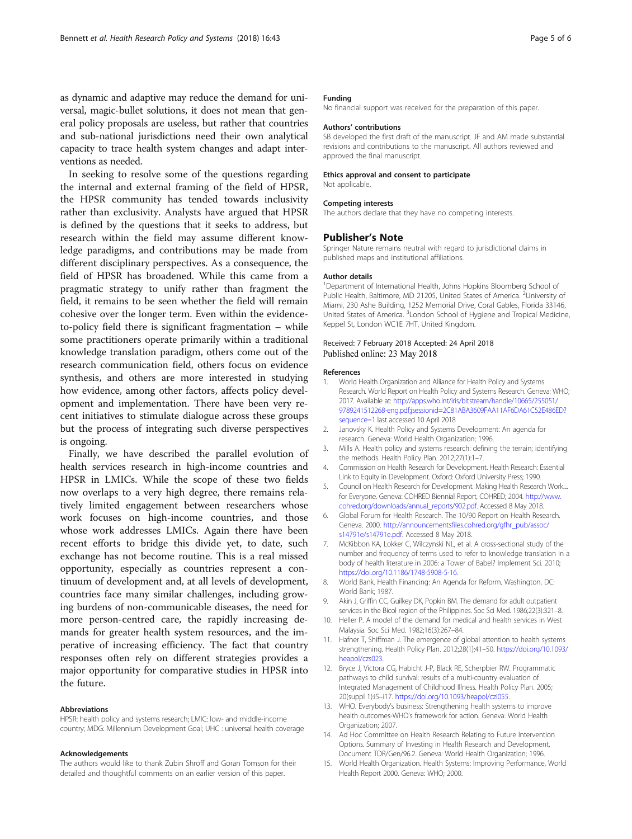<span id="page-4-0"></span>as dynamic and adaptive may reduce the demand for universal, magic-bullet solutions, it does not mean that general policy proposals are useless, but rather that countries and sub-national jurisdictions need their own analytical capacity to trace health system changes and adapt interventions as needed.

In seeking to resolve some of the questions regarding the internal and external framing of the field of HPSR, the HPSR community has tended towards inclusivity rather than exclusivity. Analysts have argued that HPSR is defined by the questions that it seeks to address, but research within the field may assume different knowledge paradigms, and contributions may be made from different disciplinary perspectives. As a consequence, the field of HPSR has broadened. While this came from a pragmatic strategy to unify rather than fragment the field, it remains to be seen whether the field will remain cohesive over the longer term. Even within the evidenceto-policy field there is significant fragmentation – while some practitioners operate primarily within a traditional knowledge translation paradigm, others come out of the research communication field, others focus on evidence synthesis, and others are more interested in studying how evidence, among other factors, affects policy development and implementation. There have been very recent initiatives to stimulate dialogue across these groups but the process of integrating such diverse perspectives is ongoing.

Finally, we have described the parallel evolution of health services research in high-income countries and HPSR in LMICs. While the scope of these two fields now overlaps to a very high degree, there remains relatively limited engagement between researchers whose work focuses on high-income countries, and those whose work addresses LMICs. Again there have been recent efforts to bridge this divide yet, to date, such exchange has not become routine. This is a real missed opportunity, especially as countries represent a continuum of development and, at all levels of development, countries face many similar challenges, including growing burdens of non-communicable diseases, the need for more person-centred care, the rapidly increasing demands for greater health system resources, and the imperative of increasing efficiency. The fact that country responses often rely on different strategies provides a major opportunity for comparative studies in HPSR into the future.

#### Abbreviations

HPSR: health policy and systems research; LMIC: low- and middle-income country; MDG: Millennium Development Goal; UHC : universal health coverage

#### Acknowledgements

The authors would like to thank Zubin Shroff and Goran Tomson for their detailed and thoughtful comments on an earlier version of this paper.

# Funding

No financial support was received for the preparation of this paper.

#### Authors' contributions

SB developed the first draft of the manuscript. JF and AM made substantial revisions and contributions to the manuscript. All authors reviewed and approved the final manuscript.

#### Ethics approval and consent to participate

Not applicable.

## Competing interests

The authors declare that they have no competing interests.

### Publisher's Note

Springer Nature remains neutral with regard to jurisdictional claims in published maps and institutional affiliations.

#### Author details

<sup>1</sup>Department of International Health, Johns Hopkins Bloomberg School of Public Health, Baltimore, MD 21205, United States of America. <sup>2</sup>University of Miami, 230 Ashe Building, 1252 Memorial Drive, Coral Gables, Florida 33146, United States of America. <sup>3</sup> London School of Hygiene and Tropical Medicine, Keppel St, London WC1E 7HT, United Kingdom.

## Received: 7 February 2018 Accepted: 24 April 2018 Published online: 23 May 2018

#### References

- 1. World Health Organization and Alliance for Health Policy and Systems Research. World Report on Health Policy and Systems Research. Geneva: WHO; 2017. Available at: [http://apps.who.int/iris/bitstream/handle/10665/255051/](http://apps.who.int/iris/bitstream/handle/10665/255051/9789241512268-eng.pdf;jsessionid=2C81ABA3609FAA11AF6DA61C52E486ED?sequence=1) [9789241512268-eng.pdf;jsessionid=2C81ABA3609FAA11AF6DA61C52E486ED?](http://apps.who.int/iris/bitstream/handle/10665/255051/9789241512268-eng.pdf;jsessionid=2C81ABA3609FAA11AF6DA61C52E486ED?sequence=1) [sequence=1](http://apps.who.int/iris/bitstream/handle/10665/255051/9789241512268-eng.pdf;jsessionid=2C81ABA3609FAA11AF6DA61C52E486ED?sequence=1) last accessed 10 April 2018
- 2. Janovsky K. Health Policy and Systems Development: An agenda for research. Geneva: World Health Organization; 1996.
- 3. Mills A. Health policy and systems research: defining the terrain; identifying the methods. Health Policy Plan. 2012;27(1):1–7.
- 4. Commission on Health Research for Development. Health Research: Essential Link to Equity in Development. Oxford: Oxford University Press; 1990.
- Council on Health Research for Development. Making Health Research Work.... for Everyone. Geneva: COHRED Biennial Report, COHRED; 2004. [http://www.](http://www.cohred.org/downloads/annual_reports/902.pdf) [cohred.org/downloads/annual\\_reports/902.pdf](http://www.cohred.org/downloads/annual_reports/902.pdf). Accessed 8 May 2018.
- 6. Global Forum for Health Research. The 10/90 Report on Health Research. Geneva. 2000. [http://announcementsfiles.cohred.org/gfhr\\_pub/assoc/](http://announcementsfiles.cohred.org/gfhr_pub/assoc/s14791e/s14791e.pdf) [s14791e/s14791e.pdf](http://announcementsfiles.cohred.org/gfhr_pub/assoc/s14791e/s14791e.pdf). Accessed 8 May 2018.
- 7. McKibbon KA, Lokker C, Wilczynski NL, et al. A cross-sectional study of the number and frequency of terms used to refer to knowledge translation in a body of health literature in 2006: a Tower of Babel? Implement Sci. 2010; [https://doi.org/10.1186/1748-5908-5-16.](https://doi.org/10.1186/1748-5908-5-16)
- 8. World Bank. Health Financing: An Agenda for Reform. Washington, DC: World Bank; 1987.
- 9. Akin J, Griffin CC, Guilkey DK, Popkin BM. The demand for adult outpatient services in the Bicol region of the Philippines. Soc Sci Med. 1986;22(3):321–8.
- 10. Heller P. A model of the demand for medical and health services in West Malaysia. Soc Sci Med. 1982;16(3):267–84.
- 11. Hafner T, Shiffman J. The emergence of global attention to health systems strengthening. Health Policy Plan. 2012;28(1):41–50. [https://doi.org/10.1093/](https://doi.org/10.1093/heapol/czs023) [heapol/czs023](https://doi.org/10.1093/heapol/czs023).
- 12. Bryce J, Victora CG, Habicht J-P, Black RE, Scherpbier RW. Programmatic pathways to child survival: results of a multi-country evaluation of Integrated Management of Childhood Illness. Health Policy Plan. 2005; 20(suppl 1):i5–i17. <https://doi.org/10.1093/heapol/czi055>.
- 13. WHO. Everybody's business: Strengthening health systems to improve health outcomes-WHO's framework for action. Geneva: World Health Organization; 2007.
- 14. Ad Hoc Committee on Health Research Relating to Future Intervention Options. Summary of Investing in Health Research and Development, Document TDR/Gen/96.2. Geneva: World Health Organization; 1996.
- 15. World Health Organization. Health Systems: Improving Performance, World Health Report 2000. Geneva: WHO; 2000.